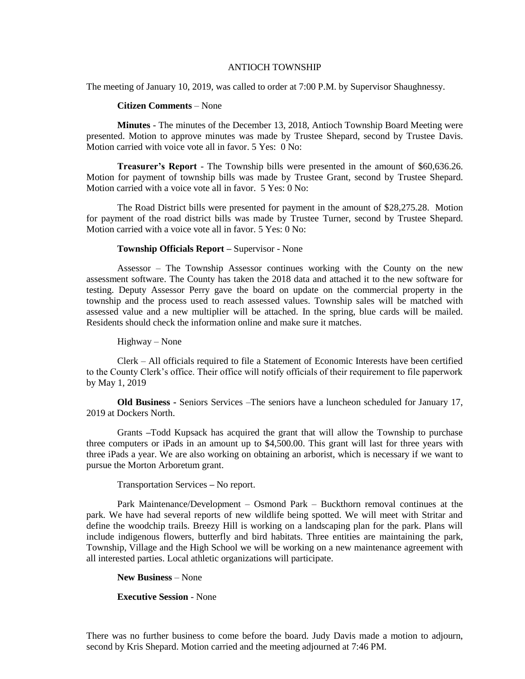## ANTIOCH TOWNSHIP

The meeting of January 10, 2019, was called to order at 7:00 P.M. by Supervisor Shaughnessy.

## **Citizen Comments** – None

**Minutes** - The minutes of the December 13, 2018, Antioch Township Board Meeting were presented. Motion to approve minutes was made by Trustee Shepard, second by Trustee Davis. Motion carried with voice vote all in favor. 5 Yes: 0 No:

**Treasurer's Report** - The Township bills were presented in the amount of \$60,636.26. Motion for payment of township bills was made by Trustee Grant, second by Trustee Shepard. Motion carried with a voice vote all in favor. 5 Yes: 0 No:

The Road District bills were presented for payment in the amount of \$28,275.28. Motion for payment of the road district bills was made by Trustee Turner, second by Trustee Shepard. Motion carried with a voice vote all in favor. 5 Yes: 0 No:

## **Township Officials Report –** Supervisor - None

Assessor – The Township Assessor continues working with the County on the new assessment software. The County has taken the 2018 data and attached it to the new software for testing. Deputy Assessor Perry gave the board on update on the commercial property in the township and the process used to reach assessed values. Township sales will be matched with assessed value and a new multiplier will be attached. In the spring, blue cards will be mailed. Residents should check the information online and make sure it matches.

Highway – None

Clerk – All officials required to file a Statement of Economic Interests have been certified to the County Clerk's office. Their office will notify officials of their requirement to file paperwork by May 1, 2019

**Old Business -** Seniors Services –The seniors have a luncheon scheduled for January 17, 2019 at Dockers North.

Grants **–**Todd Kupsack has acquired the grant that will allow the Township to purchase three computers or iPads in an amount up to \$4,500.00. This grant will last for three years with three iPads a year. We are also working on obtaining an arborist, which is necessary if we want to pursue the Morton Arboretum grant.

Transportation Services **–** No report.

Park Maintenance/Development – Osmond Park – Buckthorn removal continues at the park. We have had several reports of new wildlife being spotted. We will meet with Stritar and define the woodchip trails. Breezy Hill is working on a landscaping plan for the park. Plans will include indigenous flowers, butterfly and bird habitats. Three entities are maintaining the park, Township, Village and the High School we will be working on a new maintenance agreement with all interested parties. Local athletic organizations will participate.

**New Business** – None

**Executive Session** - None

There was no further business to come before the board. Judy Davis made a motion to adjourn, second by Kris Shepard. Motion carried and the meeting adjourned at 7:46 PM.